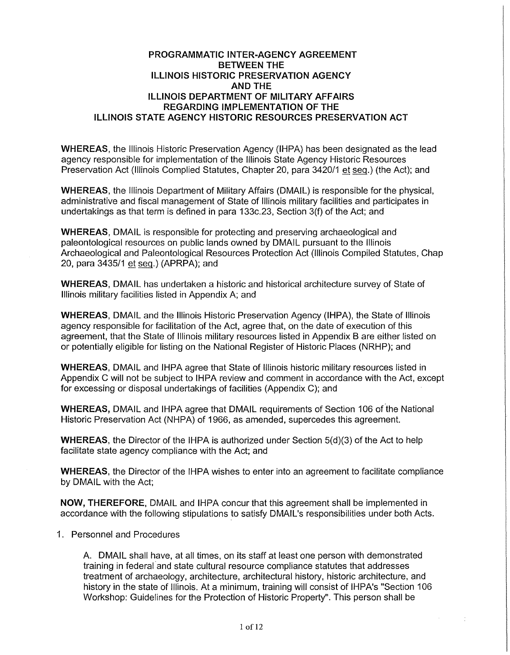### **PROGRAMMATIC INTER-AGENCY AGREEMENT BETWEEN THE ILLINOIS HISTORIC PRESERVATION AGENCY AND THE ILLINOIS DEPARTMENT OF MILITARY AFFAIRS REGARDING IMPLEMENTATION OF THE ILLINOIS STATE AGENCY HISTORIC RESOURCES PRESERVATION ACT**

**WHEREAS,** the Illinois Historic Preservation Agency (IHPA) has been designated as the lead agency responsible for implementation of the Illinois State Agency Historic Resources Preservation Act (Illinois Complied Statutes, Chapter 20, para 3420/1 et seq.) (the Act); and

**WHEREAS,** the Illinois Department of Military Affairs (DMAIL) is responsible for the physical, administrative and fiscal management of State of Illinois military facilities and participates in undertakings as that term is defined in para 133c.23, Section 3(f) of the Act; and

**WHEREAS,** DMAIL is responsible for protecting and preserving archaeological and paleontological resources on public lands owned by DMAIL pursuant to the Illinois Archaeological and Paleontological Resources Protection Act (Illinois Compiled Statutes, Chap 20, para 3435/1 et seq.) (APRPA); and

**WHEREAS,** DMAIL has undertaken a historic and historical architecture survey of State of Illinois military facilities listed in Appendix A; and

**WHEREAS,** DMAIL and the Illinois Historic Preservation Agency (IHPA), the State of Illinois agency responsible for facilitation of the Act, agree that, on the date of execution of this agreement, that the State of Illinois military resources listed in Appendix 8 are either listed on or potentially eligible for listing on the National Register of Historic Places (NRHP); and

**WHEREAS,** DMAIL and IHPA agree that State of Illinois historic military resources listed in Appendix C will not be subject to IHPA review and comment in accordance with the Act, except for excessing or disposal undertakings of facilities (Appendix C); and

**WHEREAS, DMAIL and IHPA agree that DMAIL requirements of Section 106 of the National** Historic Preservation Act (NHPA) of 1966, as amended, supercedes this agreement.

**WHEREAS,** the Director of the IHPA is authorized under Section 5(d){3) of the Act to help facilitate state agency compliance with the Act; and

**WHEREAS,** the Director of the IHPA wishes to enter into an agreement to facilitate compliance by DMAIL with the Act;

**NOW, THEREFORE,** DMAIL and IHPA concur that this agreement shall be implemented in accordance with the following stipulations to satisfy DMAIL's responsibilities under both Acts.

#### 1. Personnel and Procedures

A. DMAIL shall have, at all times, on its staff at least one person with demonstrated training in federal and state cultural resource compliance statutes that addresses treatment of archaeology, architecture, architectural history, historic architecture, and history in the state of Illinois. At a minimum, training will consist of IHPA's "Section 106 Workshop: Guidelines for the Protection of Historic Property". This person shall be

÷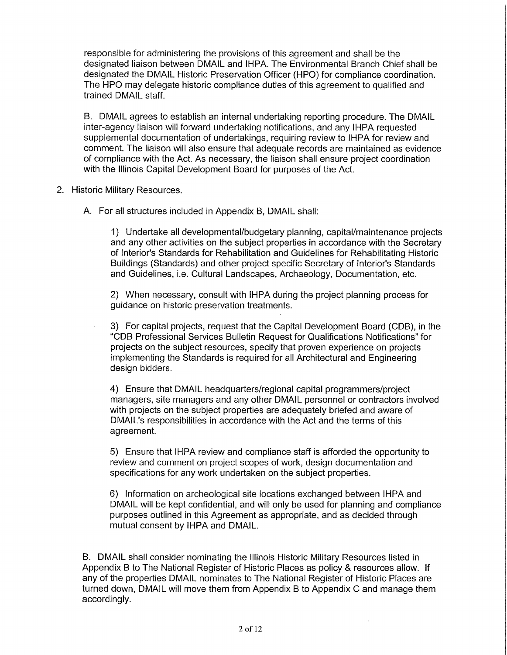responsible for administering the provisions of this agreement and shall be the designated liaison between DMAIL and IHPA. The Environmental Branch Chief shall be designated the DMAIL Historic Preservation Officer (HPO) for compliance coordination. The HPO may delegate historic compliance duties of this agreement to qualified and trained DMAIL staff.

B. DMAIL agrees to establish an internal undertaking reporting procedure. The DMAIL inter-agency liaison will forward undertaking notifications, and any IHPA requested supplemental documentation of undertakings, requiring review to IHPA for review and comment. The liaison will also ensure that adequate records are maintained as evidence of compliance with the Act. As necessary, the liaison shall ensure project coordination with the Illinois Capital Development Board for purposes of the Act.

- 2. Historic Military Resources.
	- A. For all structures included in Appendix B, DMAIL shall:

1) Undertake all developmental/budgetary planning, capital/maintenance projects and any other activities on the subject properties in accordance with the Secretary of Interior's Standards for Rehabilitation and Guidelines for Rehabilitating Historic Buildings (Standards) and other project specific Secretary of Interior's Standards and Guidelines, i.e. Cultural Landscapes, Archaeology, Documentation, etc.

2) When necessary, consult with IHPA during the project planning process for guidance on historic preservation treatments.

3} For capital projects, request that the Capital Development Board (COB), in the "COB Professional Services Bulletin Request for Qualifications Notifications" for projects on the subject resources, specify that proven experience on projects implementing the Standards is required for all Architectural and Engineering design bidders.

4) Ensure that DMAIL headquarters/regional capital programmers/project managers, site managers and any other DMAIL personnel or contractors involved with projects on the subject properties are adequately briefed and aware of DMAIL's responsibilities in accordance with the Act and the terms of this agreement.

5) Ensure that IHPA review and compliance staff is afforded the opportunity to review and comment on project scopes of work, design documentation and specifications for any work undertaken on the subject properties.

6) Information on archeological site locations exchanged between IHPA and DMAIL will be kept confidential, and will only be used for planning and compliance purposes outlined in this Agreement as appropriate, and as decided through mutual consent by IHPA and DMAIL.

B. DMAIL shall consider nominating the Illinois Historic Military Resources listed in Appendix B to The National Register of Historic Places as policy & resources allow. If any of the properties DMAIL nominates to The National Register of Historic Places are turned down, DMAIL will move them from Appendix B to Appendix C and manage them accordingly.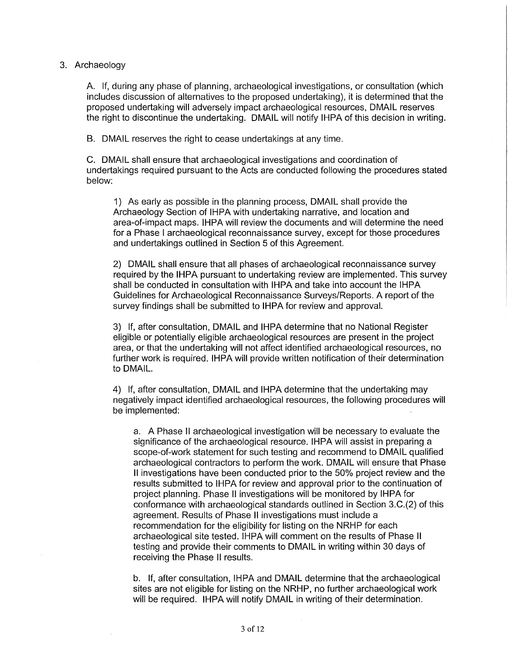### 3. Archaeology

A. If, during any phase of planning, archaeological investigations, or consultation (which includes discussion of alternatives to the proposed undertaking), it is determined that the proposed undertaking will adversely impact archaeological resources, DMAIL reserves the right to discontinue the undertaking. DMAIL will notify IHPA of this decision in writing.

B. DMAIL reserves the right to cease undertakings at any time.

C. DMAIL shall ensure that archaeological investigations and coordination of undertakings required pursuant to the Acts are conducted following the procedures stated below:

1) As early as possible in the planning process, DMAIL shall provide the Archaeology Section of IHPA with undertaking narrative, and location and area-of-impact maps. IHPA will review the documents and will determine the need for a Phase I archaeological reconnaissance survey, except for those procedures and undertakings outlined in Section 5 of this Agreement.

2) DMAIL shall ensure that all phases of archaeological reconnaissance survey required by the IHPA pursuant to undertaking review are implemented. This survey shall be conducted in consultation with IHPA and take into account the IHPA Guidelines for Archaeological Reconnaissance Surveys/Reports. A report of the survey findings shall be submitted to IHPA for review and approval.

3) If, after consultation, DMAIL and IHPA determine that no National Register eligible or potentially eligible archaeological resources are present in the project area, or that the undertaking will not affect identified archaeological resources, no further work is required. IHPA will provide written notification of their determination to DMAIL.

4) If, after consultation, DMAIL and IHPA determine that the undertaking may negatively impact identified archaeological resources, the following procedures will be implemented:

a. A Phase 11 archaeological investigation will be necessary to evaluate the significance of the archaeological resource. IHPA will assist in preparing a scope-of-work statement for such testing and recommend to DMAIL qualified archaeological contractors to perform the work. DMAIL will ensure that Phase II investigations have been conducted prior to the 50% project review and the results submitted to IHPA for review and approval prior to the continuation of project planning. Phase II investigations will be monitored by IHPA for conformance with archaeological standards outlined in Section 3.C.(2) of this agreement. Results of Phase II investigations must include a recommendation for the eligibility for listing on the NRHP for each archaeological site tested. IHPA will comment on the results of Phase II testing and provide their comments to DMAIL in writing within 30 days of receiving the Phase 11 results.

b. If, after consultation, IHPA and DMAIL determine that the archaeological sites are not eligible for listing on the NRHP, no further archaeological work will be required. IHPA will notify DMAIL in writing of their determination.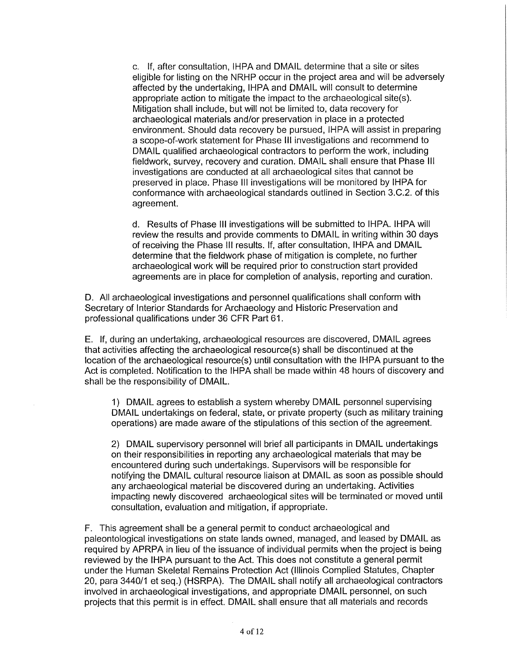c. If, after consultation, IHPA and DMAIL determine that a site or sites eligible for listing on the NRHP occur in the project area and will be adversely affected by the undertaking, IHPA and DMAIL will consult to determine appropriate action to mitigate the impact to the archaeological site(s). Mitigation shall include, but will not be limited to, data recovery for archaeological materials and/or preservation in place in a protected environment. Should data recovery be pursued, IHPA will assist in preparing a scope-of-work statement for Phase Ill investigations and recommend to DMAIL qualified archaeological contractors to perform the work, including fieldwork, survey, recovery and curation. DMAIL shall ensure that Phase Ill investigations are conducted at all archaeological sites that cannot be preserved in place. Phase Ill investigations will be monitored by IHPA for conformance with archaeological standards outlined in Section 3.C.2. of this agreement.

d. Results of Phase Ill investigations will be submitted to IHPA. IHPA will review the results and provide comments to DMAIL in writing within 30 days of receiving the Phase Ill results. If, after consultation, IHPA and DMAIL determine that the fieldwork phase of mitigation is complete, no further archaeological work will be required prior to construction start provided agreements are in place for completion of analysis, reporting and curation.

D. All archaeological investigations and personnel qualifications shall conform with Secretary of Interior Standards for Archaeology and Historic Preservation and professional qualifications under 36 CFR Part 61.

E. If, during an undertaking, archaeological resources are discovered, DMAIL agrees that activities affecting the archaeological resource(s) shall be discontinued at the location of the archaeological resource(s) until consultation with the IHPA pursuant to the Act is completed. Notification to the IHPA shall be made within 48 hours of discovery and shall be the responsibility of DMAIL.

1) DMAIL agrees to establish a system whereby DMAIL personnel supervising DMAIL undertakings on federal, state, or private property (such as military training operations) are made aware of the stipulations of this section of the agreement.

2) DMAIL supervisory personnel will brief all participants in DMAIL undertakings on their responsibilities in reporting any archaeological materials that may be encountered during such undertakings. Supervisors will be responsible for notifying the DMAIL cultural resource liaison at DMAIL as soon as possible should any archaeological material be discovered during an undertaking. Activities impacting newly discovered archaeological sites will be terminated or moved until consultation, evaluation and mitigation, if appropriate.

F. This agreement shall be a general permit to conduct archaeological and paleontological investigations on state lands owned, managed, and leased by DMAIL as required by APRPA in lieu of the issuance of individual permits when the project is being reviewed by the IHPA pursuant to the Act. This does not constitute a general permit under the Human Skeletal Remains Protection Act (Illinois Complied Statutes, Chapter 20, para 3440/1 et seq.) (HSRPA). The DMAIL shall notify all archaeological contractors involved in archaeological investigations, and appropriate DMAIL personnel, on such projects that this permit is in effect. DMAIL shall ensure that all materials and records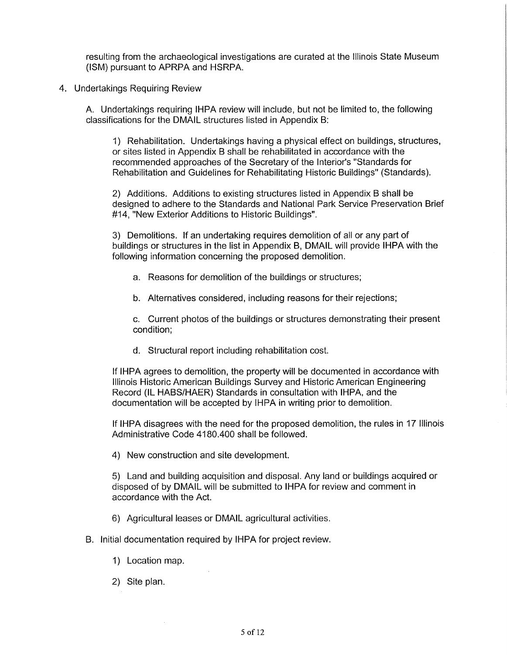resulting from the archaeological investigations are curated at the Illinois State Museum (ISM) pursuant to APRPA and HSRPA.

4. Undertakings Requiring Review

A. Undertakings requiring IHPA review will include, but not be limited to, the following classifications for the DMAIL structures listed in Appendix B:

1) Rehabilitation. Undertakings having a physical effect on buildings, structures, or sites listed in Appendix B shall be rehabilitated in accordance with the recommended approaches of the Secretary of the Interior's "Standards for Rehabilitation and Guidelines for Rehabilitating Historic Buildings" (Standards).

2) Additions. Additions to existing structures listed in Appendix B shall be designed to adhere to the Standards and National Park Service Preservation Brief #14, "New Exterior Additions to Historic Buildings".

3) Demolitions. If an undertaking requires demolition of all or any part of buildings or structures in the list in Appendix B, DMAIL will provide IHPA with the following information concerning the proposed demolition.

- a. Reasons for demolition of the buildings or structures;
- b. Alternatives considered, including reasons for their rejections;

c. Current photos of the buildings or structures demonstrating their present condition;

d. Structural report including rehabilitation cost.

If IHPA agrees to demolition, the property will be documented in accordance with Illinois Historic American Buildings Survey and Historic American Engineering Record (IL HABS/HAER) Standards in consultation with IHPA, and the documentation will be accepted by IHPA in writing prior to demolition.

If IHPA disagrees with the need for the proposed demolition, the rules in 17 Illinois Administrative Code 4180.400 shall be followed.

4) New construction and site development.

5) Land and building acquisition and disposal. Any land or buildings acquired or disposed of by DMAIL will be submitted to IHPA for review and comment in accordance with the Act.

- 6) Agricultural leases or DMAIL agricultural activities.
- B. Initial documentation required by IHPA for project review.
	- 1) Location map.
	- 2) Site plan.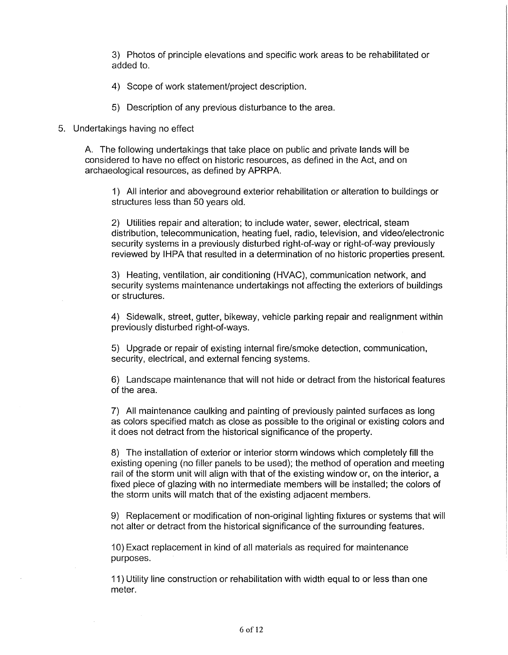3) Photos of principle elevations and specific work areas to be rehabilitated or added to.

- 4) Scope of work statement/project description.
- 5) Description of any previous disturbance to the area.

#### 5. Undertakings having no effect

A. The following undertakings that take place on public and private lands will be considered to have no effect on historic resources, as defined in the Act, and on archaeological resources, as defined by APRPA.

1) All interior and aboveground exterior rehabilitation or alteration to buildings or structures less than 50 years old.

2) Utilities repair and alteration; to include water, sewer, electrical, steam distribution, telecommunication, heating fuel, radio, television, and video/electronic security systems in a previously disturbed right-of-way or right-of-way previously reviewed by IHPA that resulted in a determination of no historic properties present.

3) Heating, ventilation, air conditioning (HVAC}, communication network, and security systems maintenance undertakings not affecting the exteriors of buildings or structures.

4) Sidewalk, street, gutter, bikeway, vehicle parking repair and realignment within previously disturbed right-of-ways.

5) Upgrade or repair of existing internal fire/smoke detection, communication, security, electrical, and external fencing systems.

6) Landscape maintenance that will not hide or detract from the historical features of the area.

7) All maintenance caulking and painting of previously painted surfaces as long as colors specified match as close as possible to the original or existing colors and it does not detract from the historical significance of the property.

8) The installation of exterior or interior storm windows which completely fill the existing opening (no filler panels to be used); the method of operation and meeting rail of the storm unit will align with that of the existing window or, on the interior, a fixed piece of glazing with no intermediate members will be installed; the colors of the storm units will match that of the existing adjacent members.

9) Replacement or modification of non-original lighting fixtures or systems that will not alter or detract from the historical significance of the surrounding features.

10) Exact replacement in kind of all materials as required for maintenance purposes.

11) Utility line construction or rehabilitation with width equal to or less than one meter.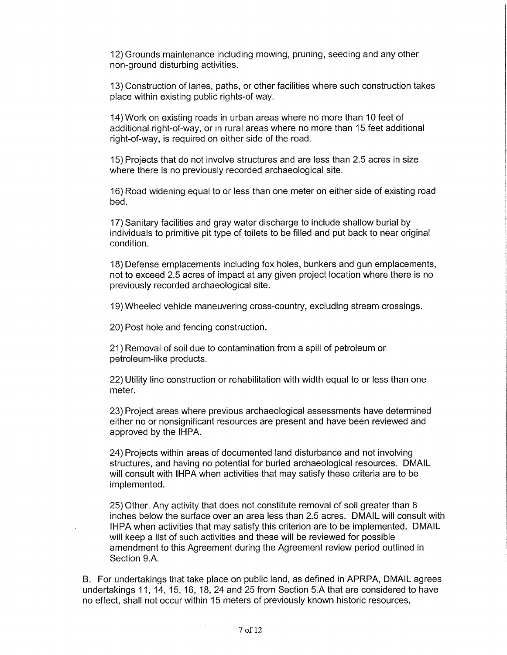12) Grounds maintenance including mowing, pruning, seeding and any other non-ground disturbing activities.

13) Construction of lanes, paths, or other facilities where such construction takes place within existing public rights-of way.

14) Work on existing roads in urban areas where no more than 10 feet of additional right-of-way, or in rural areas where no more than 15 feet additional right-of-way, is required on either side of the road.

15) Projects that do not involve structures and are less than 2.5 acres in size where there is no previously recorded archaeological site.

16) Road widening equal to or less than one meter on either side of existing road bed.

17) Sanitary facilities and gray water discharge to include shallow burial by individuals to primitive pit type of toilets to be filled and put back to near original condition.

18) Defense emplacements including fox holes, bunkers and gun emplacements, not to exceed 2.5 acres of impact at any given project location where there is no previously recorded archaeological site.

19) Wheeled vehicle maneuvering cross-country, excluding stream crossings.

20) Post hole and fencing construction.

21) Removal of soil due to contamination from a spill of petroleum or petroleum-like products.

22) Utility line construction or rehabilitation with width equal to or less than one meter.

23) Project areas where previous archaeological assessments have determined either no or nonsignificant resources are present and have been reviewed and approved by the IHPA.

24) Projects within areas of documented land disturbance and not involving structures, and having no potential for buried archaeological resources. DMAIL will consult with IHPA when activities that may satisfy these criteria are to be implemented.

25) Other. Any activity that does not constitute removal of soil greater than 8 inches below the surface over an area less than 2.5 acres. DMAIL will consult with IHPA when activities that may satisfy this criterion are to be implemented. DMAIL will keep a list of such activities and these will be reviewed for possible amendment to this Agreement during the Agreement review period outlined in Section 9.A.

B. For undertakings that take place on public land, as defined in APRPA, DMAIL agrees undertakings 11, 14, 15, 16, 18, 24 and 25 from Section 5.A that are considered to have no effect, shall not occur within 15 meters of previously known historic resources,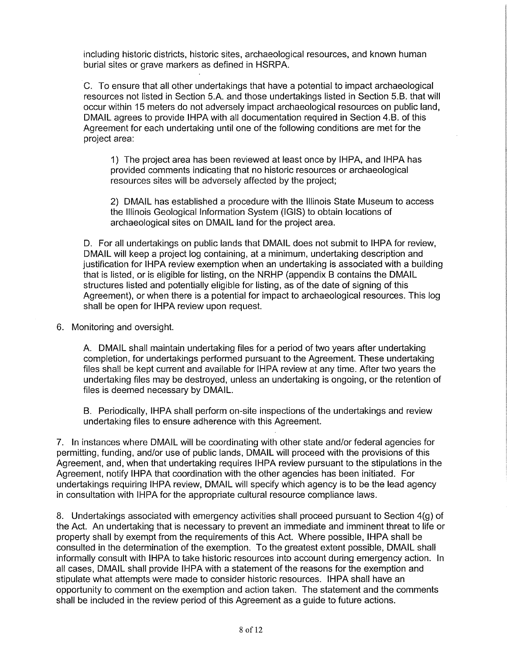including historic districts, historic sites, archaeological resources, and known human burial sites or grave markers as defined in HSRPA.

C. To ensure that all other undertakings that have a potential to impact archaeological resources not listed in Section 5.A. and those undertakings listed in Section 5.B. that will occur within 15 meters do not adversely impact archaeological resources on public land, DMAIL agrees to provide IHPA with all documentation required in Section 4.B. of this Agreement for each undertaking until one of the following conditions are met for the project area:

1) The project area has been reviewed at least once by IHPA, and IHPA has provided comments indicating that no historic resources or archaeological resources sites will be adversely affected by the project;

2) DMAIL has established a procedure with the Illinois State Museum to access the Illinois Geological Information System {IGIS) to obtain locations of archaeological sites on DMAIL land for the project area.

D. For all undertakings on public lands that DMAIL does not submit to IHPA for review, DMAIL will keep a project log containing, at a minimum, undertaking description and justification for IHPA review exemption when an undertaking is associated with a building that is listed, or is eligible for listing, on the NRHP (appendix B contains the DMAIL structures listed and potentially eligible for listing, as of the date of signing of this Agreement), or when there is a potential for impact to archaeological resources. This log shall be open for IHPA review upon request.

6. Monitoring and oversight.

A. DMAIL shall maintain undertaking files for a period of two years after undertaking completion, for undertakings performed pursuant to the Agreement. These undertaking files shall be kept current and available for IHPA review at any time. After two years the undertaking files may be destroyed, unless an undertaking is ongoing, or the retention of files is deemed necessary by DMAIL.

B. Periodically, IHPA shall perform on-site inspections of the undertakings and review undertaking files to ensure adherence with this Agreement.

7. In instances where DMAIL will be coordinating with other state and/or federal agencies for permitting, funding, and/or use of public lands, DMAIL will proceed with the provisions of this Agreement, and, when that undertaking requires IHPA review pursuant to the stipulations in the Agreement, notify IHPA that coordination with the other agencies has been initiated. For undertakings requiring IHPA review, DMAIL will specify which agency is to be the lead agency in consultation with IHPA for the appropriate cultural resource compliance laws.

8. Undertakings associated with emergency activities shall proceed pursuant to Section 4(g) of the Act. An undertaking that is necessary to prevent an immediate and imminent threat to life or property shall by exempt from the requirements of this Act. Where possible, IHPA shall be consulted in the determination of the exemption. To the greatest extent possible, DMAIL shall informally consult with IHPA to take historic resources into account during emergency action. In all cases, DMAIL shall provide IHPA with a statement of the reasons for the exemption and stipulate what attempts were made to consider historic resources. IHPA shall have an opportunity to comment on the exemption and action taken. The statement and the comments shall be included in the review period of this Agreement as a guide to future actions.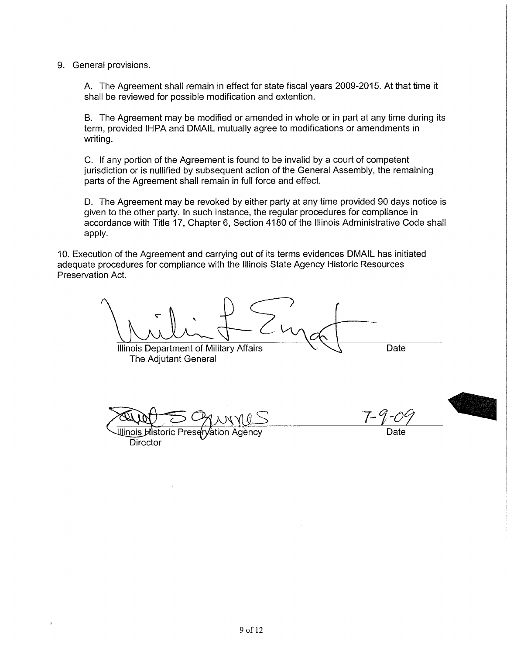9. General provisions.

A. The Agreement shall remain in effect for state fiscal years 2009-2015. At that time it shall be reviewed for possible modification and extention.

B. The Agreement may be modified or amended in whole or in part at any time during its term, provided IHPA and DMAIL mutually agree to modifications or amendments in writing.

C. If any portion of the Agreement is found to be invalid by a court of competent jurisdiction or is nullified by subsequent action of the General Assembly, the remaining parts of the Agreement shall remain in full force and effect.

D. The Agreement may be revoked by either party at any time provided 90 days notice is given to the other party. In such instance, the regular procedures for compliance in accordance with Title 17, Chapter 6, Section 4180 of the Illinois Administrative Code shall apply.

10. Execution of the Agreement and carrying out of its terms evidences DMAIL has initiated adequate procedures for compliance with the Illinois State Agency Historic Resources Preservation Act.

Illinois Department of Military Affairs **Date** 

The Adjutant General

*7-1-0* 



Illinois Historic Prese ⁄ation Agencv Director

Date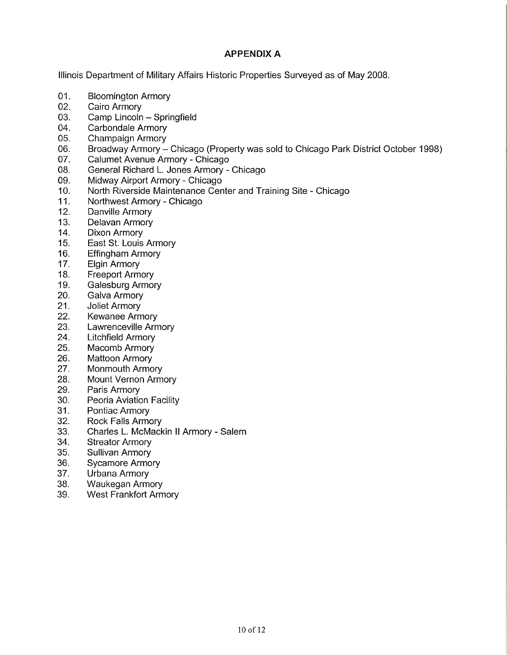# **APPENDIX A**

Illinois Department of Military Affairs Historic Properties Surveyed as of May 2008.

- 01. Bloomington Armory
- 02. Cairo Armory
- 03. Camp Lincoln Springfield
- 04. Carbondale Armory
- 05. Champaign Armory
- 06. Broadway Armory Chicago (Property was sold to Chicago Park District October 1998)
- 07. Calumet Avenue Armory Chicago
- 08. General Richard L. Jones Armory Chicago
- 09. Midway Airport Armory Chicago
- 10. North Riverside Maintenance Center and Training Site Chicago
- 11. Northwest Armory Chicago
- 12. Danville Armory
- 13. Delavan Armory
- 14. Dixon Armory
- 15. East St. Louis Armory
- 16. Effingham Armory
- 17. Elgin Armory
- 18. Freeport Armory
- 19. Galesburg Armory
- 20. Galva Armory
- 21. Joliet Armory
- 22. Kewanee Armory
- 23. Lawrenceville Armory
- 24. Litchfield Armory
- 25. Macomb Armory
- 26. Mattoon Armory
- 27. Monmouth Armory
- 28. Mount Vernon Armory
- 29. Paris Armory
- 30. Peoria Aviation Facility
- 31. Pontiac Armory
- 32. Rock Falls Armory
- 33. Charles L. McMackin II Armory Salem
- 34. Streator Armory
- 35. Sullivan Armory
- 36. Sycamore Armory
- 37. Urbana Armory
- 38. Waukegan Armory
- 39. West Frankfort Armory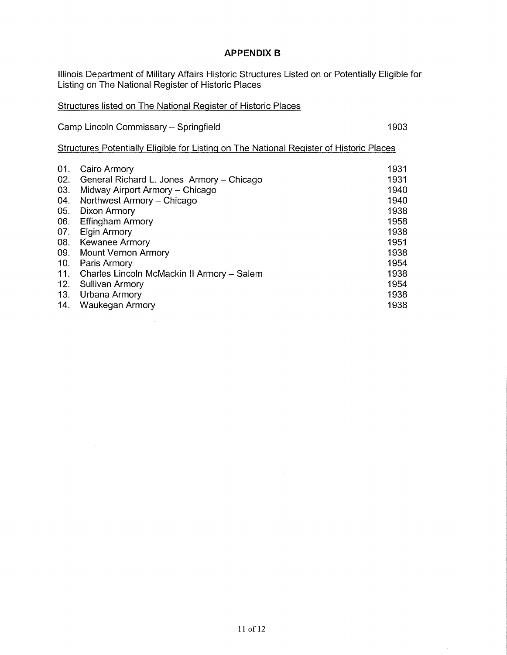# **APPENDIX B**

Illinois Department of Military Affairs Historic Structures Listed on or Potentially Eligible for Listing on The National Register of Historic Places

Structures listed on The National Register of Historic Places

Camp Lincoln Commissary - Springfield 1903

 $\bar{z}$ 

Structures Potentially Eligible for Listing on The National Register of Historic Places

| 01. | Cairo Armory                               | 1931 |
|-----|--------------------------------------------|------|
| 02. | General Richard L. Jones Armory - Chicago  | 1931 |
| 03. | Midway Airport Armory - Chicago            | 1940 |
| 04. | Northwest Armory - Chicago                 | 1940 |
| 05. | Dixon Armory                               | 1938 |
| 06. | <b>Effingham Armory</b>                    | 1958 |
| 07. | <b>Elgin Armory</b>                        | 1938 |
| 08. | <b>Kewanee Armory</b>                      | 1951 |
| 09. | Mount Vernon Armory                        | 1938 |
| 10. | Paris Armory                               | 1954 |
| 11. | Charles Lincoln McMackin II Armory - Salem | 1938 |
| 12. | <b>Sullivan Armory</b>                     | 1954 |
| 13. | Urbana Armory                              | 1938 |
| 14. | Waukegan Armory                            | 1938 |